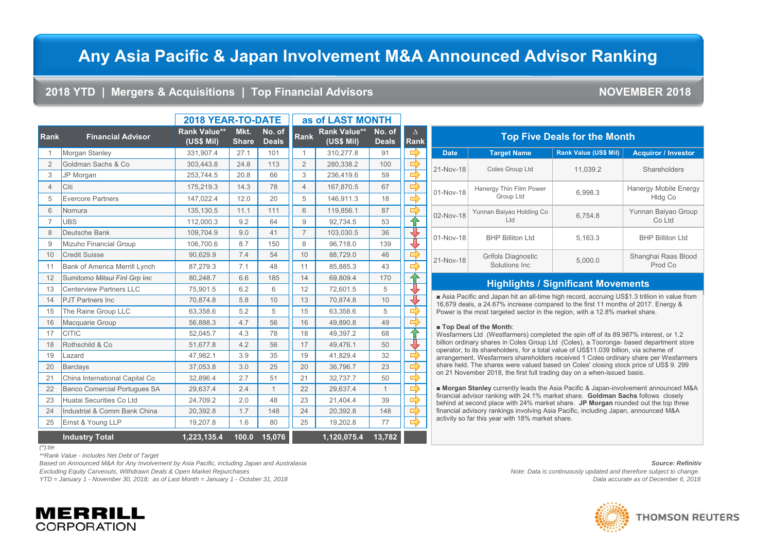# **Any Asia Pacific & Japan Involvement M&A Announced Advisor Ranking**

### **2018 YTD | Mergers & Acquisitions | Top Financial Advisors NOVEMBER 2018**

|                |                                     | 2018 YEAR-TO-DATE                 |                      | as of LAST MONTH       |                |                                   |                        |                         |                      |
|----------------|-------------------------------------|-----------------------------------|----------------------|------------------------|----------------|-----------------------------------|------------------------|-------------------------|----------------------|
| <b>Rank</b>    | <b>Financial Advisor</b>            | <b>Rank Value**</b><br>(US\$ Mil) | Mkt.<br><b>Share</b> | No. of<br><b>Deals</b> | <b>Rank</b>    | <b>Rank Value**</b><br>(US\$ Mil) | No. of<br><b>Deals</b> | $\Delta$<br><b>Rank</b> |                      |
| 1              | Morgan Stanley                      | 331,907.4                         | 27.1                 | 101                    | 1              | 310,277.8                         | 91                     | $\Rightarrow$           | <b>Date</b>          |
| 2              | Goldman Sachs & Co                  | 303,443.8                         | 24.8                 | 113                    | 2              | 280,338.2                         | 100                    | ⇛                       | 21-Nov-              |
| 3              | JP Morgan                           | 253,744.5                         | 20.8                 | 66                     | 3              | 236,419.6                         | 59                     | $\Rightarrow$           |                      |
| $\overline{4}$ | Citi                                | 175,219.3                         | 14.3                 | 78                     | $\overline{4}$ | 167,870.5                         | 67                     | $\Rightarrow$           | 01-Nov               |
| 5              | <b>Evercore Partners</b>            | 147,022.4                         | 12.0                 | 20                     | 5              | 146,911.3                         | 18                     | $\Rightarrow$           |                      |
| 6              | Nomura                              | 135,130.5                         | 11.1                 | 111                    | 6              | 119,856.1                         | 87                     | ⇨                       | 02-Nov-              |
| $\overline{7}$ | <b>UBS</b>                          | 112,000.3                         | 9.2                  | 64                     | 9              | 92,734.5                          | 53                     | ⇧                       |                      |
| 8              | Deutsche Bank                       | 109,704.9                         | 9.0                  | 41                     | $\overline{7}$ | 103,030.5                         | 36                     | ⊕                       | 01-Nov-              |
| 9              | Mizuho Financial Group              | 106,700.6                         | 8.7                  | 150                    | 8              | 96,718.0                          | 139                    | J                       |                      |
| 10             | <b>Credit Suisse</b>                | 90,629.9                          | 7.4                  | 54                     | 10             | 88,729.0                          | 46                     | 母                       |                      |
| 11             | Bank of America Merrill Lynch       | 87,279.3                          | 7.1                  | 48                     | 11             | 85.885.3                          | 43                     | $\Rightarrow$           | 21-Nov               |
| 12             | Sumitomo Mitsui Finl Grp Inc        | 80,248.7                          | 6.6                  | 185                    | 14             | 69,809.4                          | 170                    | 仐                       |                      |
| 13             | <b>Centerview Partners LLC</b>      | 75,901.5                          | 6.2                  | 6                      | 12             | 72,601.5                          | 5                      | ⇩                       |                      |
| 14             | <b>PJT Partners Inc</b>             | 70,874.8                          | 5.8                  | 10                     | 13             | 70,874.8                          | 10                     | ⇩                       | $A$ sia<br>16,679    |
| 15             | The Raine Group LLC                 | 63,358.6                          | 5.2                  | 5                      | 15             | 63,358.6                          | 5                      | $\Rightarrow$           | Power                |
| 16             | Macquarie Group                     | 56,888.3                          | 4.7                  | 56                     | 16             | 49,890.8                          | 49                     | $\Rightarrow$           | $\blacksquare$ Top   |
| 17             | <b>CITIC</b>                        | 52,045.7                          | 4.3                  | 78                     | 18             | 49,397.2                          | 68                     | ⇧                       | Wesfar               |
| 18             | Rothschild & Co                     | 51,677.8                          | 4.2                  | 56                     | 17             | 49.476.1                          | 50                     | गु                      | billion o<br>operato |
| 19             | Lazard                              | 47,982.1                          | 3.9                  | 35                     | 19             | 41,829.4                          | 32                     |                         | arrange              |
| 20             | <b>Barclays</b>                     | 37,053.8                          | 3.0                  | 25                     | 20             | 36,796.7                          | 23                     | ⇨                       | share h              |
| 21             | China International Capital Co      | 32,896.4                          | 2.7                  | 51                     | 21             | 32,737.7                          | 50                     | $\Rightarrow$           | on 21 M              |
| 22             | <b>Banco Comercial Portugues SA</b> | 29,637.4                          | 2.4                  | $\mathbf{1}$           | 22             | 29,637.4                          | $\mathbf{1}$           | $\Rightarrow$           | Mor                  |
| 23             | Huatai Securities Co Ltd            | 24,709.2                          | 2.0                  | 48                     | 23             | 21,404.4                          | 39                     | $\Rightarrow$           | financia<br>behind   |
| 24             | Industrial & Comm Bank China        | 20,392.8                          | 1.7                  | 148                    | 24             | 20,392.8                          | 148                    | $\Rightarrow$           | financia             |
| 25             | Ernst & Young LLP                   | 19,207.8                          | 1.6                  | 80                     | 25             | 19,202.8                          | 77                     | $\Rightarrow$           | activity             |
|                | <b>Industry Total</b>               | 1,223,135.4                       | 100.0                | 15,076                 |                | 1,120,075.4                       | 13,782                 |                         |                      |

| <b>Top Five Deals for the Month</b> |                                      |                              |                                         |  |  |  |  |  |  |  |
|-------------------------------------|--------------------------------------|------------------------------|-----------------------------------------|--|--|--|--|--|--|--|
| <b>Date</b>                         | <b>Target Name</b>                   | <b>Rank Value (US\$ Mil)</b> | <b>Acquiror / Investor</b>              |  |  |  |  |  |  |  |
| 21-Nov-18                           | Coles Group Ltd                      | 11,039.2                     | Shareholders                            |  |  |  |  |  |  |  |
| 01-Nov-18                           | Hanergy Thin Film Power<br>Group Ltd | 6,998.3                      | <b>Hanergy Mobile Energy</b><br>HIdg Co |  |  |  |  |  |  |  |
| 02-Nov-18                           | Yunnan Baiyao Holding Co<br>Ltd      | 6.754.8                      | Yunnan Baiyao Group<br>Co Ltd           |  |  |  |  |  |  |  |
| 01-Nov-18                           | <b>BHP Billiton Ltd</b>              | 5,163.3                      | <b>BHP Billiton Ltd</b>                 |  |  |  |  |  |  |  |
| 21-Nov-18                           | Grifols Diagnostic<br>Solutions Inc. | 5,000.0                      | Shanghai Raas Blood<br>Prod Co          |  |  |  |  |  |  |  |

### **/S f Highlights / Significant Movements**

■ Asia Pacific and Japan hit an all-time high record, accruing US\$1.3 trillion in value from 16,679 deals, a 24.67% increase compared to the first 11 months of 2017. Energy & Power is the most targeted sector in the region, with a 12.8% market share.

### ■ **Top Deal of the Month**:

Wesfarmers Ltd (Westfarmers) completed the spin off of its 89.987% interest, or 1.2 billion ordinary shares in Coles Group Ltd (Coles), a Tooronga- based department store operator, to its shareholders, for a total value of US\$11.039 billion, via scheme of arrangement. Wesfarmers shareholders received 1 Coles ordinary share per Wesfarmers share held. The shares were valued based on Coles' closing stock price of US\$ 9. 299 on 21 November 2018, the first full trading day on a when-issued basis.

■ **Morgan Stanley** currently leads the Asia Pacific & Japan-involvement announced M&A financial advisor ranking with 24.1% market share. **Goldman Sachs** follows closely behind at second place with 24% market share. **JP Morgan** rounded out the top three financial advisory rankings involving Asia Pacific, including Japan, announced M&A activity so far this year with 18% market share.

*(\*):tie*

*\*\*Rank Value - includes Net Debt of Target*

**Based on Announced M&A for Any Involvement by Asia Pacific, including Japan and Australasia Source: Refinitiv Source: Refinitiv Source: Refinitiv** 

*Excluding Equity Carveouts, Withdrawn Deals & Open Market Repurchases Note: Data is continuously updated and therefore subject to change. YTD = January 1 - November 30, 2018; as of Last Month = January 1 - October 31, 2018 Data accurate as of December 6, 2018*